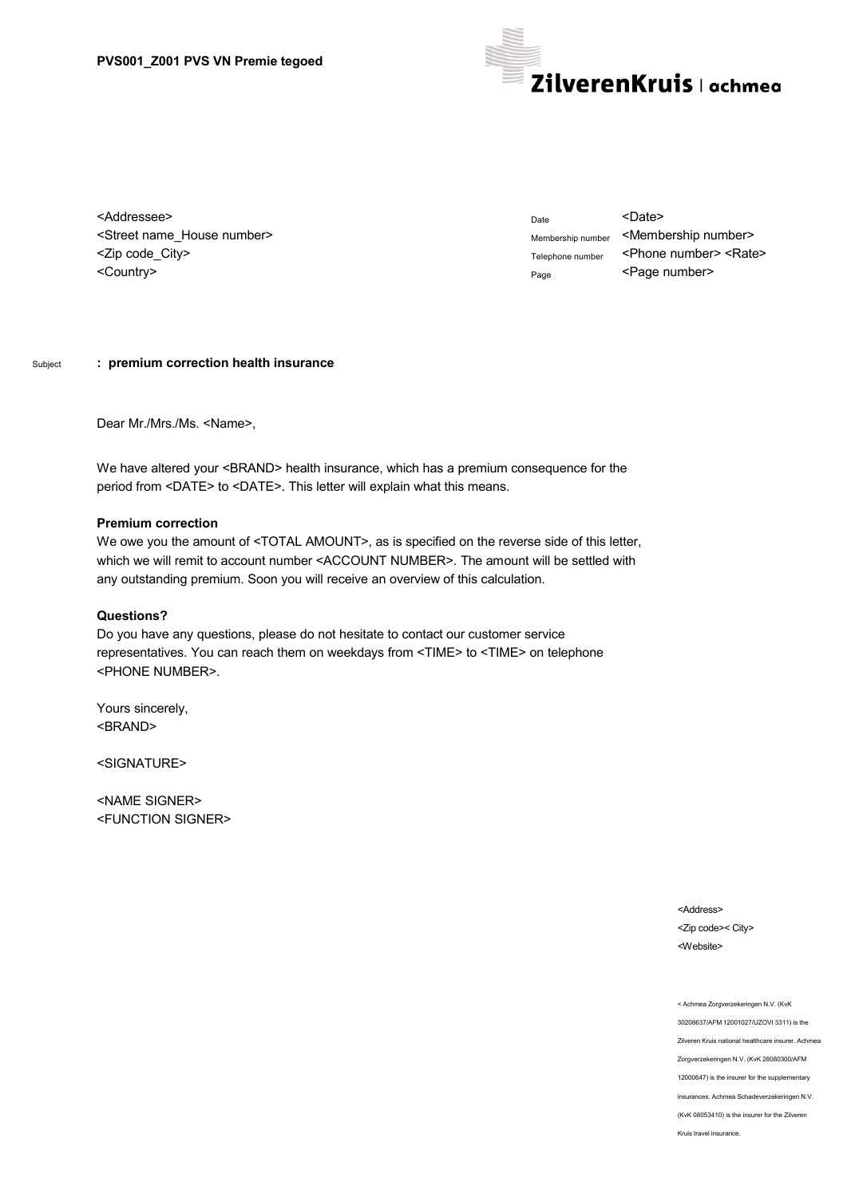

<Addressee> <Street name\_House number> <Zip code\_City> <Country>

Date <Date> Membership number <Membership number> Telephone number <Phone number> <Rate> Page <Page number>

## Subject **: premium correction health insurance**

Dear Mr./Mrs./Ms. <Name>,

We have altered your <BRAND> health insurance, which has a premium consequence for the period from <DATE> to <DATE>. This letter will explain what this means.

## **Premium correction**

We owe you the amount of <TOTAL AMOUNT>, as is specified on the reverse side of this letter, which we will remit to account number <ACCOUNT NUMBER>. The amount will be settled with any outstanding premium. Soon you will receive an overview of this calculation.

## **Questions?**

Do you have any questions, please do not hesitate to contact our customer service representatives. You can reach them on weekdays from <TIME> to <TIME> on telephone <PHONE NUMBER>.

Yours sincerely, <BRAND>

<SIGNATURE>

<NAME SIGNER> <FUNCTION SIGNER>

> <Address> <Zip code>< City> <Website>

< Achmea Zorgverzekeringen N.V. (KvK 30208637/AFM 12001027/UZOVI 3311) is the Zilveren Kruis national healthcare insurer. Achmea Zorgverzekeringen N.V. (KvK 28080300/AFM 12000647) is the insurer for the supplementary insurances. Achmea Schadeverzekeringen N.V. (KvK 08053410) is the insurer for the Zilveren Kruis travel insurance.